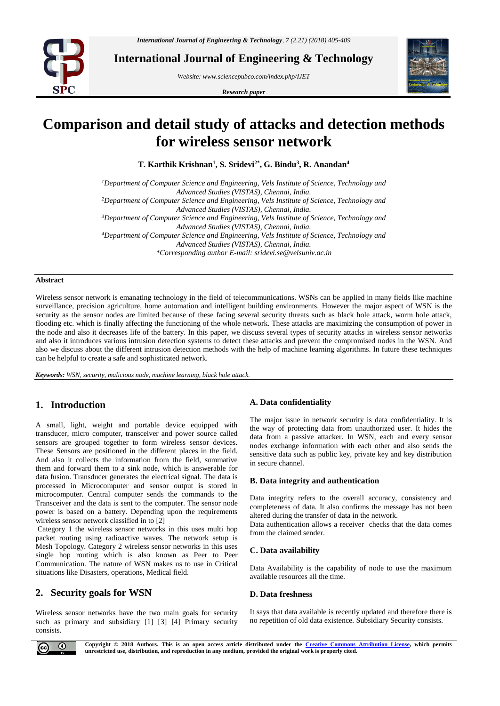

**International Journal of Engineering & Technology**

*Website: www.sciencepubco.com/index.php/IJET*

*Research paper*



# **Comparison and detail study of attacks and detection methods for wireless sensor network**

**T. Karthik Krishnan<sup>1</sup> , S. Sridevi2\* , G. Bindu<sup>3</sup> , R. Anandan<sup>4</sup>** 

*<sup>1</sup>Department of Computer Science and Engineering, Vels Institute of Science, Technology and Advanced Studies (VISTAS), Chennai, India. <sup>2</sup>Department of Computer Science and Engineering, Vels Institute of Science, Technology and Advanced Studies (VISTAS), Chennai, India. <sup>3</sup>Department of Computer Science and Engineering, Vels Institute of Science, Technology and Advanced Studies (VISTAS), Chennai, India. <sup>4</sup>Department of Computer Science and Engineering, Vels Institute of Science, Technology and Advanced Studies (VISTAS), Chennai, India. \*Corresponding author E-mail: [sridevi.se@velsuniv.ac.in](mailto:sridevi.se@velsuniv.ac.in)*

#### **Abstract**

Wireless sensor network is emanating technology in the field of telecommunications. WSNs can be applied in many fields like machine surveillance, precision agriculture, home automation and intelligent building environments. However the major aspect of WSN is the security as the sensor nodes are limited because of these facing several security threats such as black hole attack, worm hole attack, flooding etc. which is finally affecting the functioning of the whole network. These attacks are maximizing the consumption of power in the node and also it decreases life of the battery. In this paper, we discuss several types of security attacks in wireless sensor networks and also it introduces various intrusion detection systems to detect these attacks and prevent the compromised nodes in the WSN. And also we discuss about the different intrusion detection methods with the help of machine learning algorithms. In future these techniques can be helpful to create a safe and sophisticated network.

*Keywords: WSN, security, malicious node, machine learning, black hole attack.*

# **1. Introduction**

A small, light, weight and portable device equipped with transducer, micro computer, transceiver and power source called sensors are grouped together to form wireless sensor devices. These Sensors are positioned in the different places in the field. And also it collects the information from the field, summative them and forward them to a sink node, which is answerable for data fusion. Transducer generates the electrical signal. The data is processed in Microcomputer and sensor output is stored in microcomputer. Central computer sends the commands to the Transceiver and the data is sent to the computer. The sensor node power is based on a battery. Depending upon the requirements wireless sensor network classified in to [2]

Category 1 the wireless sensor networks in this uses multi hop packet routing using radioactive waves. The network setup is Mesh Topology. Category 2 wireless sensor networks in this uses single hop routing which is also known as Peer to Peer Communication. The nature of WSN makes us to use in Critical situations like Disasters, operations, Medical field.

# **2. Security goals for WSN**

Wireless sensor networks have the two main goals for security such as primary and subsidiary [1] [3] [4] Primary security consists.

# **A. Data confidentiality**

The major issue in network security is data confidentiality. It is the way of protecting data from unauthorized user. It hides the data from a passive attacker. In WSN, each and every sensor nodes exchange information with each other and also sends the sensitive data such as public key, private key and key distribution in secure channel.

### **B. Data integrity and authentication**

Data integrity refers to the overall accuracy, consistency and completeness of data. It also confirms the message has not been altered during the transfer of data in the network.

Data authentication allows a receiver checks that the data comes from the claimed sender.

### **C. Data availability**

Data Availability is the capability of node to use the maximum available resources all the time.

#### **D. Data freshness**

It says that data available is recently updated and therefore there is no repetition of old data existence. Subsidiary Security consists.



**Copyright © 2018 Authors. This is an open access article distributed under the [Creative Commons Attribution License,](http://creativecommons.org/licenses/by/3.0/) which permits unrestricted use, distribution, and reproduction in any medium, provided the original work is properly cited.**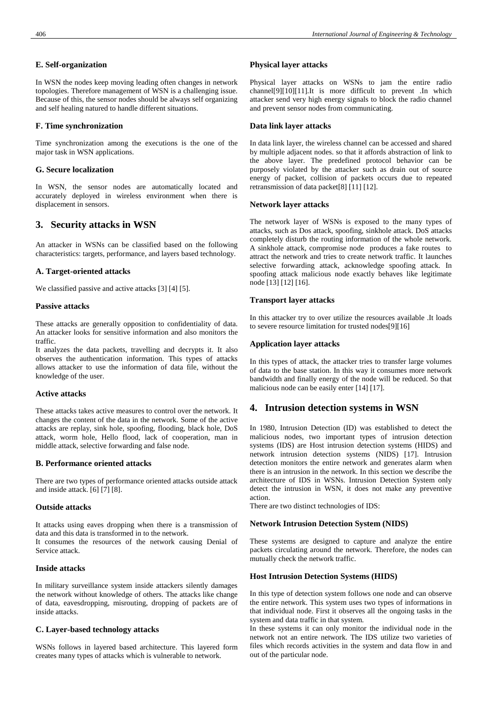#### **E. Self-organization**

In WSN the nodes keep moving leading often changes in network topologies. Therefore management of WSN is a challenging issue. Because of this, the sensor nodes should be always self organizing and self healing natured to handle different situations.

#### **F. Time synchronization**

Time synchronization among the executions is the one of the major task in WSN applications.

#### **G. Secure localization**

In WSN, the sensor nodes are automatically located and accurately deployed in wireless environment when there is displacement in sensors.

# **3. Security attacks in WSN**

An attacker in WSNs can be classified based on the following characteristics: targets, performance, and layers based technology.

# **A. Target-oriented attacks**

We classified passive and active attacks [3] [4] [5].

# **Passive attacks**

These attacks are generally opposition to confidentiality of data. An attacker looks for sensitive information and also monitors the traffic.

It analyzes the data packets, travelling and decrypts it. It also observes the authentication information. This types of attacks allows attacker to use the information of data file, without the knowledge of the user.

### **Active attacks**

These attacks takes active measures to control over the network. It changes the content of the data in the network. Some of the active attacks are replay, sink hole, spoofing, flooding, black hole, DoS attack, worm hole, Hello flood, lack of cooperation, man in middle attack, selective forwarding and false node.

### **B. Performance oriented attacks**

There are two types of performance oriented attacks outside attack and inside attack. [6] [7] [8].

### **Outside attacks**

It attacks using eaves dropping when there is a transmission of data and this data is transformed in to the network.

It consumes the resources of the network causing Denial of Service attack.

## **Inside attacks**

In military surveillance system inside attackers silently damages the network without knowledge of others. The attacks like change of data, eavesdropping, misrouting, dropping of packets are of inside attacks.

### **C. Layer-based technology attacks**

WSNs follows in layered based architecture. This layered form creates many types of attacks which is vulnerable to network.

Physical layer attacks on WSNs to jam the entire radio channel[9][10][11].It is more difficult to prevent .In which attacker send very high energy signals to block the radio channel and prevent sensor nodes from communicating.

#### **Data link layer attacks**

In data link layer, the wireless channel can be accessed and shared by multiple adjacent nodes. so that it affords abstraction of link to the above layer. The predefined protocol behavior can be purposely violated by the attacker such as drain out of source energy of packet, collision of packets occurs due to repeated retransmission of data packet[8] [11] [12].

### **Network layer attacks**

The network layer of WSNs is exposed to the many types of attacks, such as Dos attack, spoofing, sinkhole attack. DoS attacks completely disturb the routing information of the whole network. A sinkhole attack, compromise node produces a fake routes to attract the network and tries to create network traffic. It launches selective forwarding attack, acknowledge spoofing attack. In spoofing attack malicious node exactly behaves like legitimate node [13] [12] [16].

# **Transport layer attacks**

In this attacker try to over utilize the resources available .It loads to severe resource limitation for trusted nodes[9][16]

### **Application layer attacks**

In this types of attack, the attacker tries to transfer large volumes of data to the base station. In this way it consumes more network bandwidth and finally energy of the node will be reduced. So that malicious node can be easily enter [14] [17].

# **4. Intrusion detection systems in WSN**

In 1980, Intrusion Detection (ID) was established to detect the malicious nodes, two important types of intrusion detection systems (IDS) are Host intrusion detection systems (HIDS) and network intrusion detection systems (NIDS) [17]. Intrusion detection monitors the entire network and generates alarm when there is an intrusion in the network. In this section we describe the architecture of IDS in WSNs. Intrusion Detection System only detect the intrusion in WSN, it does not make any preventive action.

There are two distinct technologies of IDS:

#### **Network Intrusion Detection System (NIDS)**

These systems are designed to capture and analyze the entire packets circulating around the network. Therefore, the nodes can mutually check the network traffic.

### **Host Intrusion Detection Systems (HIDS)**

In this type of detection system follows one node and can observe the entire network. This system uses two types of informations in that individual node. First it observes all the ongoing tasks in the system and data traffic in that system.

In these systems it can only monitor the individual node in the network not an entire network. The IDS utilize two varieties of files which records activities in the system and data flow in and out of the particular node.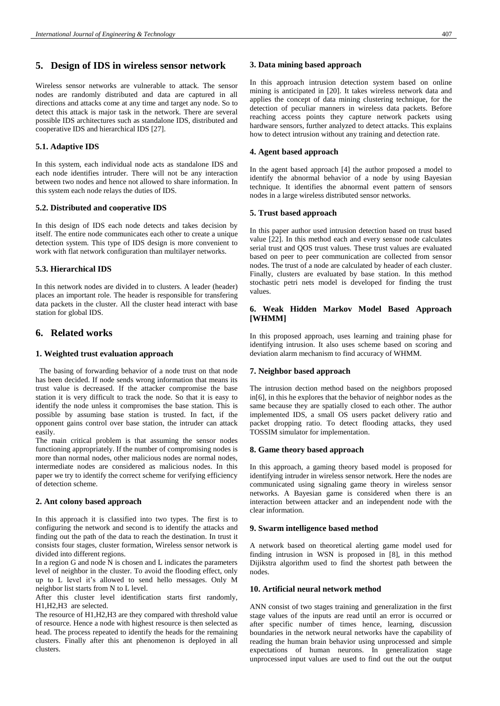## **5. Design of IDS in wireless sensor network**

Wireless sensor networks are vulnerable to attack. The sensor nodes are randomly distributed and data are captured in all directions and attacks come at any time and target any node. So to detect this attack is major task in the network. There are several possible IDS architectures such as standalone IDS, distributed and cooperative IDS and hierarchical IDS [27].

### **5.1. Adaptive IDS**

In this system, each individual node acts as standalone IDS and each node identifies intruder. There will not be any interaction between two nodes and hence not allowed to share information. In this system each node relays the duties of IDS.

#### **5.2. Distributed and cooperative IDS**

In this design of IDS each node detects and takes decision by itself. The entire node communicates each other to create a unique detection system. This type of IDS design is more convenient to work with flat network configuration than multilayer networks.

## **5.3. Hierarchical IDS**

In this network nodes are divided in to clusters. A leader (header) places an important role. The header is responsible for transfering data packets in the cluster. All the cluster head interact with base station for global IDS.

# **6. Related works**

#### **1. Weighted trust evaluation approach**

 The basing of forwarding behavior of a node trust on that node has been decided. If node sends wrong information that means its trust value is decreased. If the attacker compromise the base station it is very difficult to track the node. So that it is easy to identify the node unless it compromises the base station. This is possible by assuming base station is trusted. In fact, if the opponent gains control over base station, the intruder can attack easily.

The main critical problem is that assuming the sensor nodes functioning appropriately. If the number of compromising nodes is more than normal nodes, other malicious nodes are normal nodes, intermediate nodes are considered as malicious nodes. In this paper we try to identify the correct scheme for verifying efficiency of detection scheme.

#### **2. Ant colony based approach**

In this approach it is classified into two types. The first is to configuring the network and second is to identify the attacks and finding out the path of the data to reach the destination. In trust it consists four stages, cluster formation, Wireless sensor network is divided into different regions.

In a region G and node N is chosen and L indicates the parameters level of neighbor in the cluster. To avoid the flooding effect, only up to L level it's allowed to send hello messages. Only M neighbor list starts from N to L level.

After this cluster level identification starts first randomly, H1,H2,H3 are selected.

The resource of H1,H2,H3 are they compared with threshold value of resource. Hence a node with highest resource is then selected as head. The process repeated to identify the heads for the remaining clusters. Finally after this ant phenomenon is deployed in all clusters.

#### **3. Data mining based approach**

In this approach intrusion detection system based on online mining is anticipated in [20]. It takes wireless network data and applies the concept of data mining clustering technique, for the detection of peculiar manners in wireless data packets. Before reaching access points they capture network packets using hardware sensors, further analyzed to detect attacks. This explains how to detect intrusion without any training and detection rate.

#### **4. Agent based approach**

In the agent based approach [4] the author proposed a model to identify the abnormal behavior of a node by using Bayesian technique. It identifies the abnormal event pattern of sensors nodes in a large wireless distributed sensor networks.

#### **5. Trust based approach**

In this paper author used intrusion detection based on trust based value [22]. In this method each and every sensor node calculates serial trust and QOS trust values. These trust values are evaluated based on peer to peer communication are collected from sensor nodes. The trust of a node are calculated by header of each cluster. Finally, clusters are evaluated by base station. In this method stochastic petri nets model is developed for finding the trust values.

#### **6. Weak Hidden Markov Model Based Approach [WHMM]**

In this proposed approach, uses learning and training phase for identifying intrusion. It also uses scheme based on scoring and deviation alarm mechanism to find accuracy of WHMM.

#### **7. Neighbor based approach**

The intrusion dection method based on the neighbors proposed in[6], in this he explores that the behavior of neighbor nodes as the same because they are spatially closed to each other. The author implemented IDS, a small OS users packet delivery ratio and packet dropping ratio. To detect flooding attacks, they used TOSSIM simulator for implementation.

#### **8. Game theory based approach**

In this approach, a gaming theory based model is proposed for identifying intruder in wireless sensor network. Here the nodes are communicated using signaling game theory in wireless sensor networks. A Bayesian game is considered when there is an interaction between attacker and an independent node with the clear information.

#### **9. Swarm intelligence based method**

A network based on theoretical alerting game model used for finding intrusion in WSN is proposed in [8], in this method Dijikstra algorithm used to find the shortest path between the nodes.

# **10. Artificial neural network method**

ANN consist of two stages training and generalization in the first stage values of the inputs are read until an error is occurred or after specific number of times hence, learning, discussion boundaries in the network neural networks have the capability of reading the human brain behavior using unprocessed and simple expectations of human neurons. In generalization stage unprocessed input values are used to find out the out the output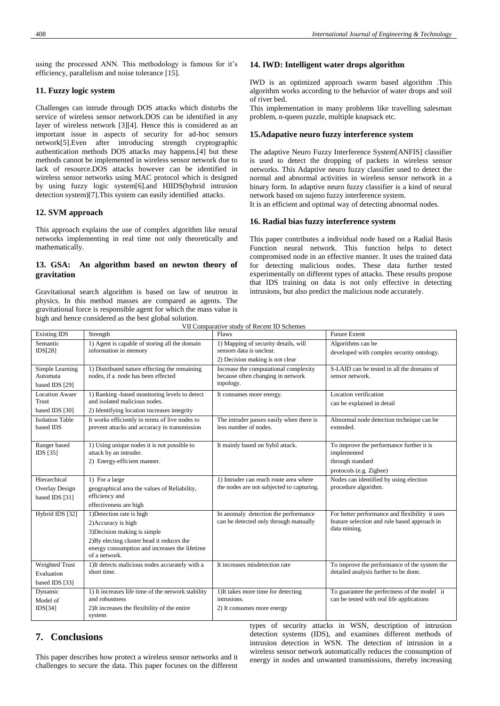using the processed ANN. This methodology is famous for it's efficiency, parallelism and noise tolerance [15].

## **11. Fuzzy logic system**

Challenges can intrude through DOS attacks which disturbs the service of wireless sensor network.DOS can be identified in any layer of wireless network [3][4]. Hence this is considered as an important issue in aspects of security for ad-hoc sensors network[5].Even after introducing strength cryptographic authentication methods DOS attacks may happens.[4] but these methods cannot be implemented in wireless sensor network due to lack of resource.DOS attacks however can be identified in wireless sensor networks using MAC protocol which is designed by using fuzzy logic system[6].and HIIDS(hybrid intrusion detection system)[7].This system can easily identified attacks.

# **12. SVM approach**

This approach explains the use of complex algorithm like neural networks implementing in real time not only theoretically and mathematically.

## **13. GSA: An algorithm based on newton theory of gravitation**

Gravitational search algorithm is based on law of neutron in physics. In this method masses are compared as agents. The gravitational force is responsible agent for which the mass value is high and hence considered as the best global solution.

## **14. IWD: Intelligent water drops algorithm**

IWD is an optimized approach swarm based algorithm .This algorithm works according to the behavior of water drops and soil of river bed.

This implementation in many problems like travelling salesman problem, n-queen puzzle, multiple knapsack etc.

#### **15.Adapative neuro fuzzy interference system**

The adaptive Neuro Fuzzy Interference System[ANFIS] classifier is used to detect the dropping of packets in wireless sensor networks. This Adaptive neuro fuzzy classifier used to detect the normal and abnormal activities in wireless sensor network in a binary form. In adaptive neuro fuzzy classifier is a kind of neural network based on sujeno fuzzy interference system.

It is an efficient and optimal way of detecting abnormal nodes.

#### **16. Radial bias fuzzy interference system**

This paper contributes a individual node based on a Radial Basis Function neural network. This function helps to detect compromised node in an effective manner. It uses the trained data for detecting malicious nodes. These data further tested experimentally on different types of attacks. These results propose that IDS training on data is not only effective in detecting intrusions, but also predict the malicious node accurately.

| VII Comparative study of Recent ID Schemes              |                                                                                                                                                                                                  |                                                                                                     |                                                                                                                |
|---------------------------------------------------------|--------------------------------------------------------------------------------------------------------------------------------------------------------------------------------------------------|-----------------------------------------------------------------------------------------------------|----------------------------------------------------------------------------------------------------------------|
| <b>Existing IDS</b>                                     | Strength                                                                                                                                                                                         | Flaws                                                                                               | <b>Future Extent</b>                                                                                           |
| Semantic<br>IDS[28]                                     | 1) Agent is capable of storing all the domain<br>information in memory                                                                                                                           | 1) Mapping of security details, will<br>sensors data is unclear.<br>2) Decision making is not clear | Algorithms can be<br>developed with complex security ontology.                                                 |
| Simple Learning<br>Automata<br>based IDS [29]           | 1) Distributed nature effecting the remaining<br>nodes, if a node has been effected                                                                                                              | Increase the computational complexity<br>because often changing in network<br>topology.             | S-LAID can be tested in all the domains of<br>sensor network.                                                  |
| <b>Location Aware</b><br><b>Trust</b><br>based IDS [30] | 1) Ranking -based monitoring levels to detect<br>and isolated malicious nodes.<br>2) Identifying location increases integrity                                                                    | It consumes more energy.                                                                            | Location verification<br>can be explained in detail                                                            |
| <b>Isolation Table</b><br>based IDS                     | It works efficiently in terms of live nodes to<br>prevent attacks and accuracy in transmission                                                                                                   | The intruder passes easily when there is<br>less number of nodes.                                   | Abnormal node detection technique can be<br>extended.                                                          |
| Ranger based<br>IDS [35]                                | 1) Using unique nodes it is not possible to<br>attack by an intruder.<br>2) Energy-efficient manner.                                                                                             | It mainly based on Sybil attack.                                                                    | To improve the performance further it is<br>implemented<br>through standard<br>protocols (e.g. Zigbee)         |
| Hierarchical<br>Overlay Design<br>based IDS [31]        | 1) For a large<br>geographical area the values of Reliability,<br>efficiency and<br>effectiveness are high                                                                                       | 1) Intruder can reach route area where<br>the nodes are not subjected to capturing.                 | Nodes can identified by using election<br>procedure algorithm.                                                 |
| Hybrid IDS [32]                                         | 1) Detection rate is high<br>2) Accuracy is high<br>3) Decision making is simple<br>2) By electing cluster head it reduces the<br>energy consumption and increases the lifetime<br>of a network. | In anomaly detection the performance<br>can be detected only through manually                       | For better performance and flexibility it uses<br>feature selection and rule based approach in<br>data mining. |
| Weighted Trust<br>Evaluation<br>based IDS [33]          | 1)It detects malicious nodes accurately with a<br>short time.                                                                                                                                    | It increases misdetection rate                                                                      | To improve the performance of the system the<br>detailed analysis further to be done.                          |
| Dynamic<br>Model of<br>IDS[34]                          | 1) It increases life time of the network stability<br>and robustness<br>2) It increases the flexibility of the entire<br>system                                                                  | 1) It takes more time for detecting<br>intrusions.<br>2) It consumes more energy                    | To guarantee the perfectness of the model it<br>can be tested with real life applications                      |

# **7. Conclusions**

This paper describes how protect a wireless sensor networks and it challenges to secure the data. This paper focuses on the different

types of security attacks in WSN, description of intrusion detection systems (IDS), and examines different methods of intrusion detection in WSN. The detection of intrusion in a wireless sensor network automatically reduces the consumption of energy in nodes and unwanted transmissions, thereby increasing